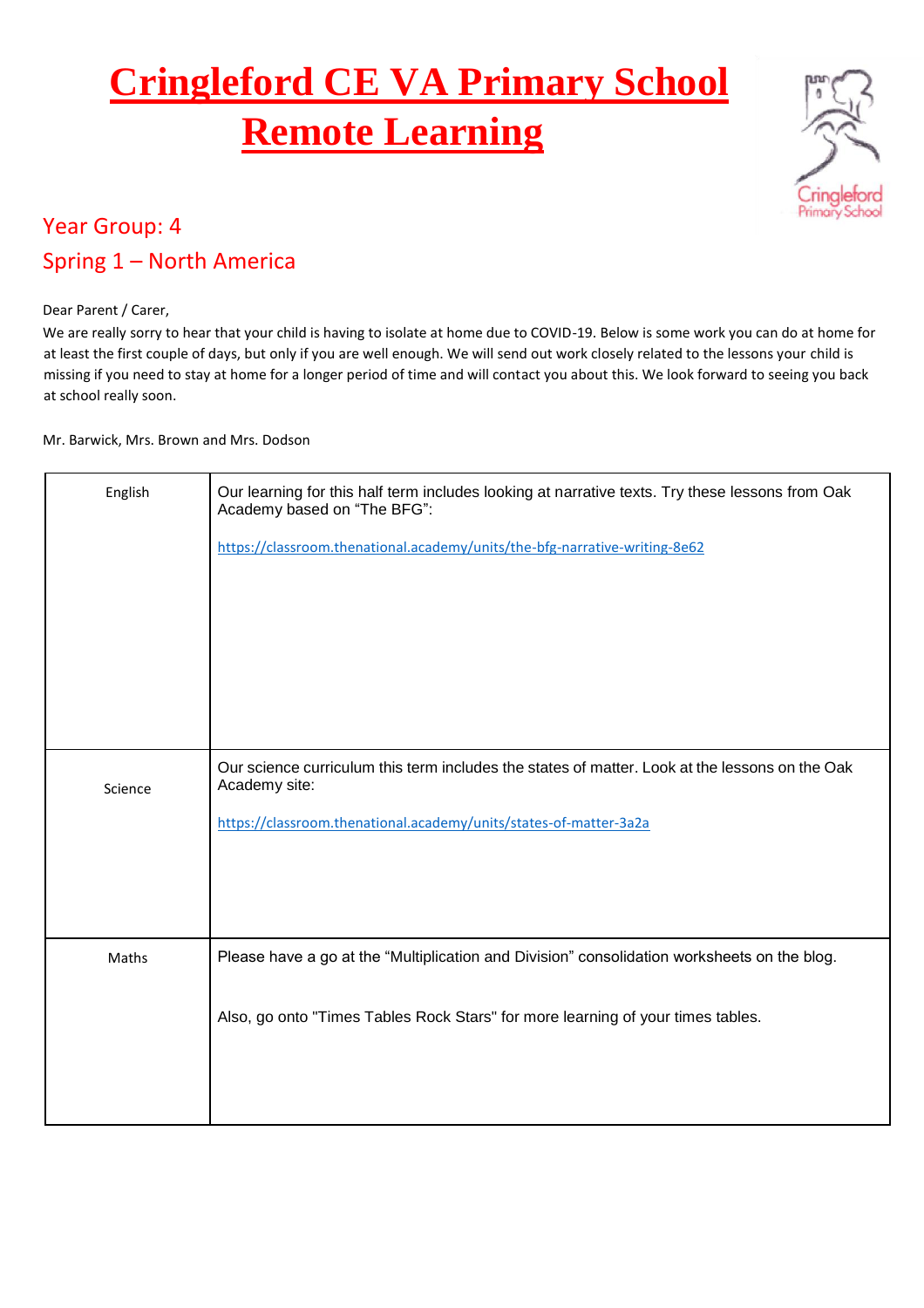## **Cringleford CE VA Primary School Remote Learning**



## Year Group: 4 Spring 1 – North America

## Dear Parent / Carer,

We are really sorry to hear that your child is having to isolate at home due to COVID-19. Below is some work you can do at home for at least the first couple of days, but only if you are well enough. We will send out work closely related to the lessons your child is missing if you need to stay at home for a longer period of time and will contact you about this. We look forward to seeing you back at school really soon.

Mr. Barwick, Mrs. Brown and Mrs. Dodson

| English | Our learning for this half term includes looking at narrative texts. Try these lessons from Oak<br>Academy based on "The BFG":<br>https://classroom.thenational.academy/units/the-bfg-narrative-writing-8e62 |
|---------|--------------------------------------------------------------------------------------------------------------------------------------------------------------------------------------------------------------|
| Science | Our science curriculum this term includes the states of matter. Look at the lessons on the Oak<br>Academy site:<br>https://classroom.thenational.academy/units/states-of-matter-3a2a                         |
| Maths   | Please have a go at the "Multiplication and Division" consolidation worksheets on the blog.<br>Also, go onto "Times Tables Rock Stars" for more learning of your times tables.                               |